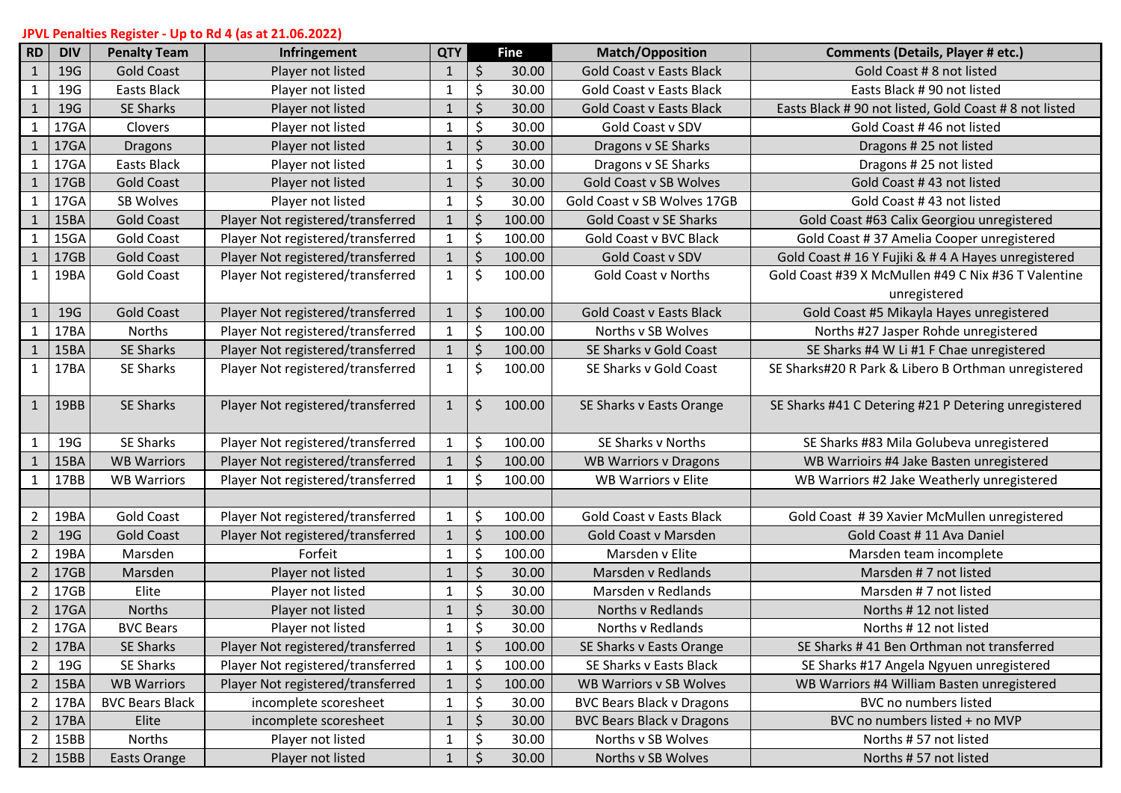## **JPVL Penalties Register - Up to Rd 4 (as at 21.06.2022)**

| <b>RD</b>      | <b>DIV</b> | <b>Penalty Team</b>    | Infringement                      | <b>QTY</b>   |         | <b>Fine</b> | <b>Match/Opposition</b>          | <b>Comments (Details, Player # etc.)</b>             |
|----------------|------------|------------------------|-----------------------------------|--------------|---------|-------------|----------------------------------|------------------------------------------------------|
| $\mathbf{1}$   | 19G        | <b>Gold Coast</b>      | Player not listed                 | $\mathbf{1}$ | $\zeta$ | 30.00       | <b>Gold Coast v Easts Black</b>  | Gold Coast # 8 not listed                            |
| $\mathbf{1}$   | 19G        | <b>Easts Black</b>     | Player not listed                 | 1            | $\zeta$ | 30.00       | <b>Gold Coast v Easts Black</b>  | Easts Black #90 not listed                           |
| $\mathbf{1}$   | 19G        | <b>SE Sharks</b>       | Player not listed                 | $\mathbf{1}$ | \$      | 30.00       | <b>Gold Coast v Easts Black</b>  | Easts Black #90 not listed, Gold Coast #8 not listed |
| $\mathbf{1}$   | 17GA       | Clovers                | Player not listed                 | $\mathbf{1}$ | \$      | 30.00       | Gold Coast v SDV                 | Gold Coast #46 not listed                            |
| $\mathbf{1}$   | 17GA       | <b>Dragons</b>         | Player not listed                 | $\mathbf{1}$ | \$      | 30.00       | Dragons v SE Sharks              | Dragons # 25 not listed                              |
| $\mathbf{1}$   | 17GA       | <b>Easts Black</b>     | Player not listed                 | $\mathbf{1}$ | \$      | 30.00       | Dragons v SE Sharks              | Dragons # 25 not listed                              |
| $\mathbf{1}$   | 17GB       | <b>Gold Coast</b>      | Player not listed                 | $\mathbf{1}$ | $\zeta$ | 30.00       | <b>Gold Coast v SB Wolves</b>    | Gold Coast #43 not listed                            |
| $\mathbf{1}$   | 17GA       | SB Wolves              | Player not listed                 | 1            | \$      | 30.00       | Gold Coast v SB Wolves 17GB      | Gold Coast #43 not listed                            |
|                | 15BA       | <b>Gold Coast</b>      | Player Not registered/transferred | $\mathbf{1}$ | $\zeta$ | 100.00      | <b>Gold Coast v SE Sharks</b>    | Gold Coast #63 Calix Georgiou unregistered           |
|                | 15GA       | <b>Gold Coast</b>      | Player Not registered/transferred | $\mathbf 1$  | \$      | 100.00      | <b>Gold Coast v BVC Black</b>    | Gold Coast #37 Amelia Cooper unregistered            |
|                | 17GB       | <b>Gold Coast</b>      | Player Not registered/transferred | $\mathbf{1}$ | $\zeta$ | 100.00      | Gold Coast v SDV                 | Gold Coast #16 Y Fujiki & #4 A Hayes unregistered    |
| $\mathbf{1}$   | 19BA       | <b>Gold Coast</b>      | Player Not registered/transferred | $\mathbf{1}$ | \$      | 100.00      | <b>Gold Coast v Norths</b>       | Gold Coast #39 X McMullen #49 C Nix #36 T Valentine  |
|                |            |                        |                                   |              |         |             |                                  | unregistered                                         |
| $\mathbf{1}$   | 19G        | <b>Gold Coast</b>      | Player Not registered/transferred | $\mathbf{1}$ | $\zeta$ | 100.00      | <b>Gold Coast v Easts Black</b>  | Gold Coast #5 Mikayla Hayes unregistered             |
| $\mathbf{1}$   | 17BA       | Norths                 | Player Not registered/transferred | $\mathbf{1}$ | \$      | 100.00      | Norths v SB Wolves               | Norths #27 Jasper Rohde unregistered                 |
|                | 15BA       | SE Sharks              | Player Not registered/transferred | $\mathbf{1}$ | $\zeta$ | 100.00      | SE Sharks v Gold Coast           | SE Sharks #4 W Li #1 F Chae unregistered             |
| $\mathbf{1}$   | 17BA       | SE Sharks              | Player Not registered/transferred | $\mathbf{1}$ | \$      | 100.00      | SE Sharks v Gold Coast           | SE Sharks#20 R Park & Libero B Orthman unregistered  |
|                |            |                        |                                   |              |         |             |                                  |                                                      |
| $\mathbf{1}$   | 19BB       | <b>SE Sharks</b>       | Player Not registered/transferred | $\mathbf{1}$ | \$      | 100.00      | SE Sharks v Easts Orange         | SE Sharks #41 C Detering #21 P Detering unregistered |
|                |            |                        |                                   |              |         |             |                                  |                                                      |
| $\mathbf{1}$   | 19G        | SE Sharks              | Player Not registered/transferred | $\mathbf{1}$ | \$      | 100.00      | SE Sharks v Norths               | SE Sharks #83 Mila Golubeva unregistered             |
|                | 15BA       | <b>WB Warriors</b>     | Player Not registered/transferred | $\mathbf{1}$ | $\zeta$ | 100.00      | <b>WB Warriors v Dragons</b>     | WB Warrioirs #4 Jake Basten unregistered             |
| $\mathbf{1}$   | 17BB       | <b>WB Warriors</b>     | Player Not registered/transferred | $\mathbf{1}$ | \$      | 100.00      | <b>WB Warriors v Elite</b>       | WB Warriors #2 Jake Weatherly unregistered           |
|                |            |                        |                                   |              |         |             |                                  |                                                      |
| $\overline{2}$ | 19BA       | <b>Gold Coast</b>      | Player Not registered/transferred | $\mathbf{1}$ | $\zeta$ | 100.00      | <b>Gold Coast v Easts Black</b>  | Gold Coast #39 Xavier McMullen unregistered          |
| $\overline{2}$ | 19G        | <b>Gold Coast</b>      | Player Not registered/transferred | $\mathbf{1}$ | $\zeta$ | 100.00      | <b>Gold Coast v Marsden</b>      | Gold Coast # 11 Ava Daniel                           |
| $\overline{2}$ | 19BA       | Marsden                | Forfeit                           | $\mathbf{1}$ | \$      | 100.00      | Marsden v Elite                  | Marsden team incomplete                              |
| $\overline{2}$ | 17GB       | Marsden                | Player not listed                 | $\mathbf{1}$ | \$      | 30.00       | Marsden v Redlands               | Marsden #7 not listed                                |
| $\overline{2}$ | 17GB       | Elite                  | Player not listed                 | $\mathbf{1}$ | \$      | 30.00       | Marsden v Redlands               | Marsden #7 not listed                                |
| $\overline{2}$ | 17GA       | Norths                 | Player not listed                 | $\mathbf{1}$ | \$      | 30.00       | Norths v Redlands                | Norths #12 not listed                                |
| $\overline{2}$ | 17GA       | <b>BVC Bears</b>       | Player not listed                 | 1            | $\zeta$ | 30.00       | Norths v Redlands                | Norths #12 not listed                                |
| 2              | 17BA       | SE Sharks              | Player Not registered/transferred | $\mathbf{1}$ | \$      | 100.00      | SE Sharks v Easts Orange         | SE Sharks #41 Ben Orthman not transferred            |
| $\overline{2}$ | 19G        | SE Sharks              | Player Not registered/transferred | $\mathbf{1}$ | \$      | 100.00      | SE Sharks v Easts Black          | SE Sharks #17 Angela Ngyuen unregistered             |
| $\overline{2}$ | 15BA       | <b>WB Warriors</b>     | Player Not registered/transferred | $\mathbf{1}$ | \$      | 100.00      | <b>WB Warriors v SB Wolves</b>   | WB Warriors #4 William Basten unregistered           |
| $\overline{2}$ | 17BA       | <b>BVC Bears Black</b> | incomplete scoresheet             | $\mathbf{1}$ | \$      | 30.00       | <b>BVC Bears Black v Dragons</b> | BVC no numbers listed                                |
| $\overline{2}$ | 17BA       | Elite                  | incomplete scoresheet             | $\mathbf{1}$ | Ŝ       | 30.00       | <b>BVC Bears Black v Dragons</b> | BVC no numbers listed + no MVP                       |
| $\overline{2}$ | 15BB       | Norths                 | Player not listed                 | $\mathbf{1}$ | \$      | 30.00       | Norths v SB Wolves               | Norths #57 not listed                                |
| $2^{\circ}$    | 15BB       | Easts Orange           | Player not listed                 | $\mathbf{1}$ | $\zeta$ | 30.00       | Norths v SB Wolves               | Norths #57 not listed                                |